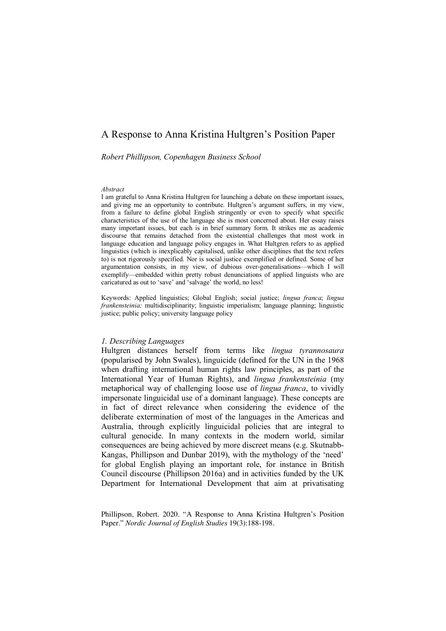# A Response to Anna Kristina Hultgren's Position Paper

*Robert Phillipson, Copenhagen Business School*

#### *Abstract*

I am grateful to Anna Kristina Hultgren for launching a debate on these important issues, and giving me an opportunity to contribute. Hultgren's argument suffers, in my view, from a failure to define global English stringently or even to specify what specific characteristics of the use of the language she is most concerned about. Her essay raises many important issues, but each is in brief summary form. It strikes me as academic discourse that remains detached from the existential challenges that most work in language education and language policy engages in. What Hultgren refers to as applied linguistics (which is inexplicably capitalised, unlike other disciplines that the text refers to) is not rigorously specified. Nor is social justice exemplified or defined. Some of her argumentation consists, in my view, of dubious over-generalisations—which I will exemplify—embedded within pretty robust denunciations of applied linguists who are caricatured as out to 'save' and 'salvage' the world, no less!

Keywords: Applied linguistics; Global English; social justice; *lingua franca*; *lingua frankensteinia;* multidisciplinarity; linguistic imperialism; language planning; linguistic justice; public policy; university language policy

#### *1. Describing Languages*

Hultgren distances herself from terms like *lingua tyrannosaura* (popularised by John Swales), linguicide (defined for the UN in the 1968 when drafting international human rights law principles, as part of the International Year of Human Rights), and *lingua frankensteinia* (my metaphorical way of challenging loose use of *lingua franca*, to vividly impersonate linguicidal use of a dominant language). These concepts are in fact of direct relevance when considering the evidence of the deliberate extermination of most of the languages in the Americas and Australia, through explicitly linguicidal policies that are integral to cultural genocide. In many contexts in the modern world, similar consequences are being achieved by more discreet means (e.g. Skutnabb-Kangas, Phillipson and Dunbar 2019), with the mythology of the 'need' for global English playing an important role, for instance in British Council discourse (Phillipson 2016a) and in activities funded by the UK Department for International Development that aim at privatisating

Phillipson, Robert. 2020. "A Response to Anna Kristina Hultgren's Position Paper." *Nordic Journal of English Studies* 19(3):188-198.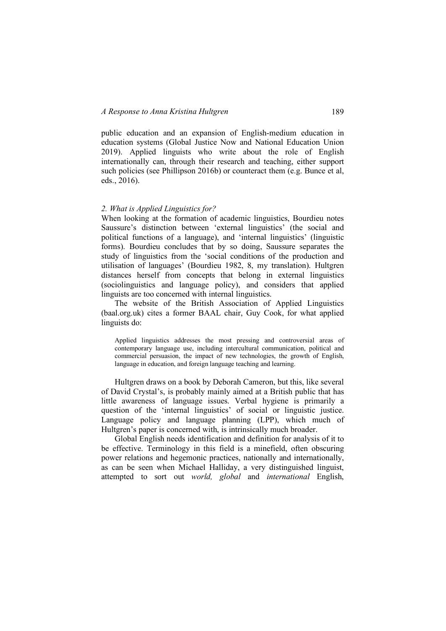public education and an expansion of English-medium education in education systems (Global Justice Now and National Education Union 2019). Applied linguists who write about the role of English internationally can, through their research and teaching, either support such policies (see Phillipson 2016b) or counteract them (e.g. Bunce et al, eds., 2016).

# *2. What is Applied Linguistics for?*

When looking at the formation of academic linguistics, Bourdieu notes Saussure's distinction between 'external linguistics' (the social and political functions of a language), and 'internal linguistics' (linguistic forms). Bourdieu concludes that by so doing, Saussure separates the study of linguistics from the 'social conditions of the production and utilisation of languages' (Bourdieu 1982, 8, my translation). Hultgren distances herself from concepts that belong in external linguistics (sociolinguistics and language policy), and considers that applied linguists are too concerned with internal linguistics.

The website of the British Association of Applied Linguistics (baal.org.uk) cites a former BAAL chair, Guy Cook, for what applied linguists do:

Applied linguistics addresses the most pressing and controversial areas of contemporary language use, including intercultural communication, political and commercial persuasion, the impact of new technologies, the growth of English, language in education, and foreign language teaching and learning.

Hultgren draws on a book by Deborah Cameron, but this, like several of David Crystal's, is probably mainly aimed at a British public that has little awareness of language issues. Verbal hygiene is primarily a question of the 'internal linguistics' of social or linguistic justice. Language policy and language planning (LPP), which much of Hultgren's paper is concerned with, is intrinsically much broader.

Global English needs identification and definition for analysis of it to be effective. Terminology in this field is a minefield, often obscuring power relations and hegemonic practices, nationally and internationally, as can be seen when Michael Halliday, a very distinguished linguist, attempted to sort out *world, global* and *international* English,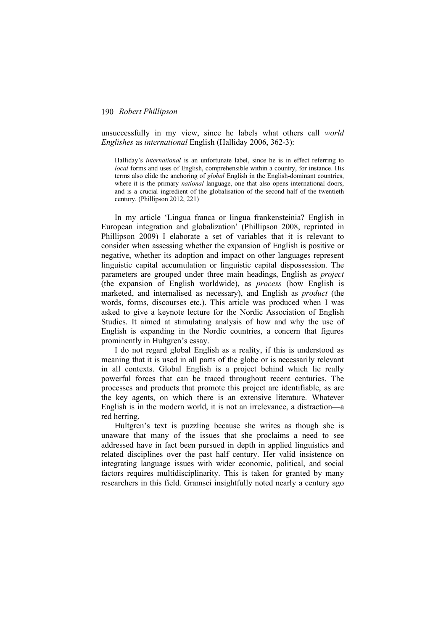unsuccessfully in my view, since he labels what others call *world Englishes* as *international* English (Halliday 2006, 362-3):

Halliday's *international* is an unfortunate label, since he is in effect referring to *local* forms and uses of English, comprehensible within a country, for instance. His terms also elide the anchoring of *global* English in the English-dominant countries, where it is the primary *national* language, one that also opens international doors, and is a crucial ingredient of the globalisation of the second half of the twentieth century. (Phillipson 2012, 221)

In my article 'Lingua franca or lingua frankensteinia? English in European integration and globalization' (Phillipson 2008, reprinted in Phillipson 2009) I elaborate a set of variables that it is relevant to consider when assessing whether the expansion of English is positive or negative, whether its adoption and impact on other languages represent linguistic capital accumulation or linguistic capital dispossession. The parameters are grouped under three main headings, English as *project* (the expansion of English worldwide), as *process* (how English is marketed, and internalised as necessary), and English as *product* (the words, forms, discourses etc.). This article was produced when I was asked to give a keynote lecture for the Nordic Association of English Studies. It aimed at stimulating analysis of how and why the use of English is expanding in the Nordic countries, a concern that figures prominently in Hultgren's essay.

I do not regard global English as a reality, if this is understood as meaning that it is used in all parts of the globe or is necessarily relevant in all contexts. Global English is a project behind which lie really powerful forces that can be traced throughout recent centuries. The processes and products that promote this project are identifiable, as are the key agents, on which there is an extensive literature. Whatever English is in the modern world, it is not an irrelevance, a distraction—a red herring.

Hultgren's text is puzzling because she writes as though she is unaware that many of the issues that she proclaims a need to see addressed have in fact been pursued in depth in applied linguistics and related disciplines over the past half century. Her valid insistence on integrating language issues with wider economic, political, and social factors requires multidisciplinarity. This is taken for granted by many researchers in this field. Gramsci insightfully noted nearly a century ago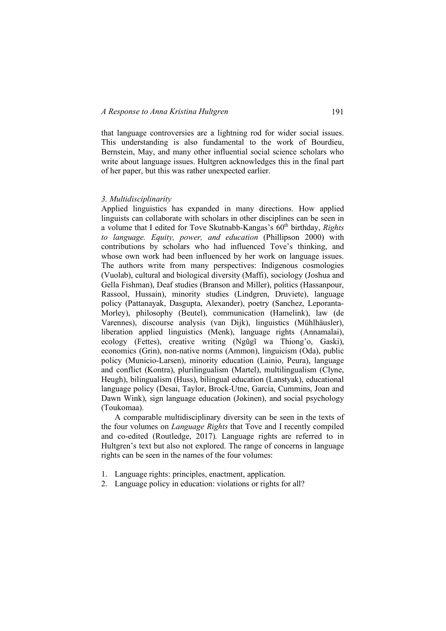that language controversies are a lightning rod for wider social issues. This understanding is also fundamental to the work of Bourdieu, Bernstein, May, and many other influential social science scholars who write about language issues. Hultgren acknowledges this in the final part of her paper, but this was rather unexpected earlier.

#### *3. Multidisciplinarity*

Applied linguistics has expanded in many directions. How applied linguists can collaborate with scholars in other disciplines can be seen in a volume that I edited for Tove Skutnabb-Kangas's 60<sup>th</sup> birthday, *Rights to language. Equity, power, and education* (Phillipson 2000) with contributions by scholars who had influenced Tove's thinking, and whose own work had been influenced by her work on language issues. The authors write from many perspectives: Indigenous cosmologies (Vuolab), cultural and biological diversity (Maffi), sociology (Joshua and Gella Fishman), Deaf studies (Branson and Miller), politics (Hassanpour, Rassool, Hussain), minority studies (Lindgren, Druviete), language policy (Pattanayak, Dasgupta, Alexander), poetry (Sanchez, Leporanta-Morley), philosophy (Beutel), communication (Hamelink), law (de Varennes), discourse analysis (van Dijk), linguistics (Mühlhäusler), liberation applied linguistics (Menk), language rights (Annamalai), ecology (Fettes), creative writing (Ngũgĩ wa Thiong'o, Gaski), economics (Grin), non-native norms (Ammon), linguicism (Oda), public policy (Municio-Larsen), minority education (Lainio, Peura), language and conflict (Kontra), plurilingualism (Martel), multilingualism (Clyne, Heugh), bilingualism (Huss), bilingual education (Lanstyak), educational language policy (Desai, Taylor, Brock-Utne, García, Cummins, Joan and Dawn Wink), sign language education (Jokinen), and social psychology (Toukomaa).

A comparable multidisciplinary diversity can be seen in the texts of the four volumes on *Language Rights* that Tove and I recently compiled and co-edited (Routledge, 2017). Language rights are referred to in Hultgren's text but also not explored. The range of concerns in language rights can be seen in the names of the four volumes:

- 1. Language rights: principles, enactment, application.
- 2. Language policy in education: violations or rights for all?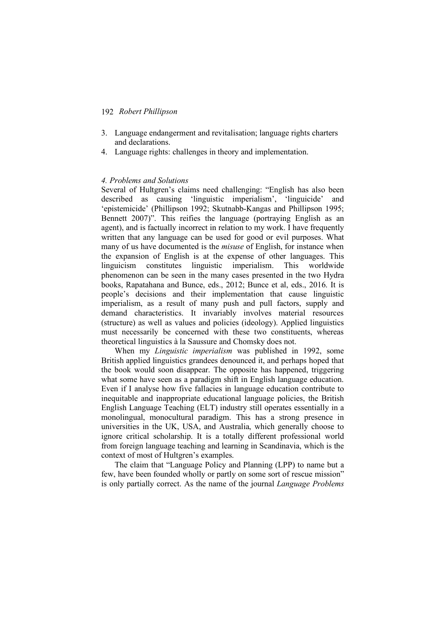- 3. Language endangerment and revitalisation; language rights charters and declarations.
- 4. Language rights: challenges in theory and implementation.

### *4. Problems and Solutions*

Several of Hultgren's claims need challenging: "English has also been described as causing 'linguistic imperialism', 'linguicide' and 'epistemicide' (Phillipson 1992; Skutnabb-Kangas and Phillipson 1995; Bennett 2007)". This reifies the language (portraying English as an agent), and is factually incorrect in relation to my work. I have frequently written that any language can be used for good or evil purposes. What many of us have documented is the *misuse* of English, for instance when the expansion of English is at the expense of other languages. This linguicism constitutes linguistic imperialism. This worldwide phenomenon can be seen in the many cases presented in the two Hydra books, Rapatahana and Bunce, eds., 2012; Bunce et al, eds., 2016. It is people's decisions and their implementation that cause linguistic imperialism, as a result of many push and pull factors, supply and demand characteristics. It invariably involves material resources (structure) as well as values and policies (ideology). Applied linguistics must necessarily be concerned with these two constituents, whereas theoretical linguistics à la Saussure and Chomsky does not.

When my *Linguistic imperialism* was published in 1992, some British applied linguistics grandees denounced it, and perhaps hoped that the book would soon disappear. The opposite has happened, triggering what some have seen as a paradigm shift in English language education. Even if I analyse how five fallacies in language education contribute to inequitable and inappropriate educational language policies, the British English Language Teaching (ELT) industry still operates essentially in a monolingual, monocultural paradigm. This has a strong presence in universities in the UK, USA, and Australia, which generally choose to ignore critical scholarship. It is a totally different professional world from foreign language teaching and learning in Scandinavia, which is the context of most of Hultgren's examples.

The claim that "Language Policy and Planning (LPP) to name but a few, have been founded wholly or partly on some sort of rescue mission" is only partially correct. As the name of the journal *Language Problems*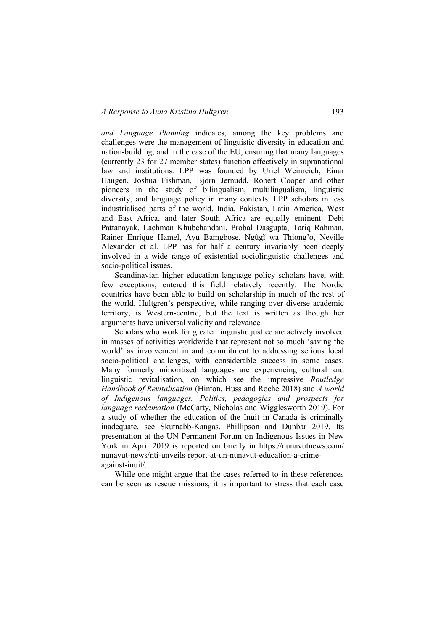*and Language Planning* indicates, among the key problems and challenges were the management of linguistic diversity in education and nation-building, and in the case of the EU, ensuring that many languages (currently 23 for 27 member states) function effectively in supranational law and institutions. LPP was founded by Uriel Weinreich, Einar Haugen, Joshua Fishman, Björn Jernudd, Robert Cooper and other pioneers in the study of bilingualism, multilingualism, linguistic diversity, and language policy in many contexts. LPP scholars in less industrialised parts of the world, India, Pakistan, Latin America, West and East Africa, and later South Africa are equally eminent: Debi Pattanayak, Lachman Khubchandani, Probal Dasgupta, Tariq Rahman, Rainer Enrique Hamel, Ayu Bamgbose, Ngũgĩ wa Thiong'o, Neville Alexander et al. LPP has for half a century invariably been deeply involved in a wide range of existential sociolinguistic challenges and socio-political issues.

Scandinavian higher education language policy scholars have, with few exceptions, entered this field relatively recently. The Nordic countries have been able to build on scholarship in much of the rest of the world. Hultgren's perspective, while ranging over diverse academic territory, is Western-centric, but the text is written as though her arguments have universal validity and relevance.

Scholars who work for greater linguistic justice are actively involved in masses of activities worldwide that represent not so much 'saving the world' as involvement in and commitment to addressing serious local socio-political challenges, with considerable success in some cases. Many formerly minoritised languages are experiencing cultural and linguistic revitalisation, on which see the impressive *Routledge Handbook of Revitalisation* (Hinton, Huss and Roche 2018) and *A world of Indigenous languages. Politics, pedagogies and prospects for language reclamation* (McCarty, Nicholas and Wigglesworth 2019). For a study of whether the education of the Inuit in Canada is criminally inadequate, see Skutnabb-Kangas, Phillipson and Dunbar 2019. Its presentation at the UN Permanent Forum on Indigenous Issues in New York in April 2019 is reported on briefly in https://nunavutnews.com/ nunavut-news/nti-unveils-report-at-un-nunavut-education-a-crimeagainst-inuit/.

While one might argue that the cases referred to in these references can be seen as rescue missions, it is important to stress that each case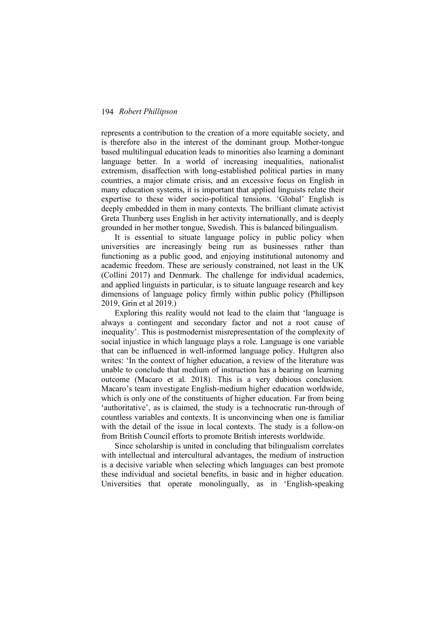represents a contribution to the creation of a more equitable society, and is therefore also in the interest of the dominant group. Mother-tongue based multilingual education leads to minorities also learning a dominant language better. In a world of increasing inequalities, nationalist extremism, disaffection with long-established political parties in many countries, a major climate crisis, and an excessive focus on English in many education systems, it is important that applied linguists relate their expertise to these wider socio-political tensions. 'Global' English is deeply embedded in them in many contexts. The brilliant climate activist Greta Thunberg uses English in her activity internationally, and is deeply grounded in her mother tongue, Swedish. This is balanced bilingualism.

It is essential to situate language policy in public policy when universities are increasingly being run as businesses rather than functioning as a public good, and enjoying institutional autonomy and academic freedom. These are seriously constrained, not least in the UK (Collini 2017) and Denmark. The challenge for individual academics, and applied linguists in particular, is to situate language research and key dimensions of language policy firmly within public policy (Phillipson 2019, Grin et al 2019.)

Exploring this reality would not lead to the claim that 'language is always a contingent and secondary factor and not a root cause of inequality'. This is postmodernist misrepresentation of the complexity of social injustice in which language plays a role. Language is one variable that can be influenced in well-informed language policy. Hultgren also writes: 'In the context of higher education, a review of the literature was unable to conclude that medium of instruction has a bearing on learning outcome (Macaro et al. 2018). This is a very dubious conclusion. Macaro's team investigate English-medium higher education worldwide, which is only one of the constituents of higher education. Far from being 'authoritative', as is claimed, the study is a technocratic run-through of countless variables and contexts. It is unconvincing when one is familiar with the detail of the issue in local contexts. The study is a follow-on from British Council efforts to promote British interests worldwide.

Since scholarship is united in concluding that bilingualism correlates with intellectual and intercultural advantages, the medium of instruction is a decisive variable when selecting which languages can best promote these individual and societal benefits, in basic and in higher education. Universities that operate monolingually, as in 'English-speaking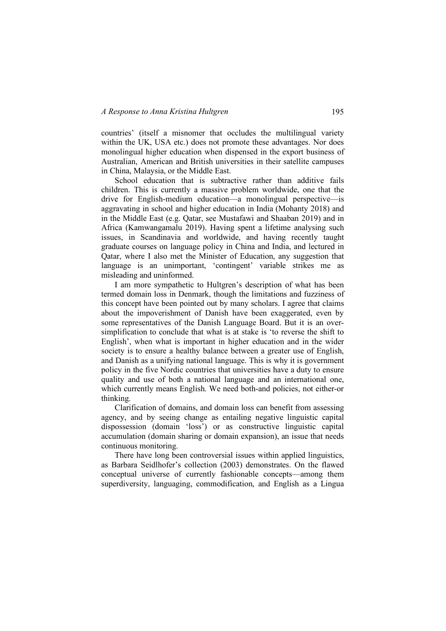countries' (itself a misnomer that occludes the multilingual variety within the UK, USA etc.) does not promote these advantages. Nor does monolingual higher education when dispensed in the export business of Australian, American and British universities in their satellite campuses in China, Malaysia, or the Middle East.

School education that is subtractive rather than additive fails children. This is currently a massive problem worldwide, one that the drive for English-medium education—a monolingual perspective—is aggravating in school and higher education in India (Mohanty 2018) and in the Middle East (e.g. Qatar, see Mustafawi and Shaaban 2019) and in Africa (Kamwangamalu 2019). Having spent a lifetime analysing such issues, in Scandinavia and worldwide, and having recently taught graduate courses on language policy in China and India, and lectured in Qatar, where I also met the Minister of Education, any suggestion that language is an unimportant, 'contingent' variable strikes me as misleading and uninformed.

I am more sympathetic to Hultgren's description of what has been termed domain loss in Denmark, though the limitations and fuzziness of this concept have been pointed out by many scholars. I agree that claims about the impoverishment of Danish have been exaggerated, even by some representatives of the Danish Language Board. But it is an oversimplification to conclude that what is at stake is 'to reverse the shift to English', when what is important in higher education and in the wider society is to ensure a healthy balance between a greater use of English, and Danish as a unifying national language. This is why it is government policy in the five Nordic countries that universities have a duty to ensure quality and use of both a national language and an international one, which currently means English. We need both-and policies, not either-or thinking.

Clarification of domains, and domain loss can benefit from assessing agency, and by seeing change as entailing negative linguistic capital dispossession (domain 'loss') or as constructive linguistic capital accumulation (domain sharing or domain expansion), an issue that needs continuous monitoring.

There have long been controversial issues within applied linguistics, as Barbara Seidlhofer's collection (2003) demonstrates. On the flawed conceptual universe of currently fashionable concepts—among them superdiversity, languaging, commodification, and English as a Lingua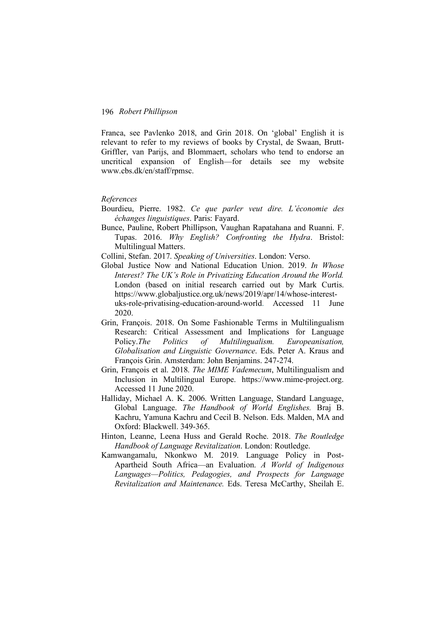Franca, see Pavlenko 2018, and Grin 2018. On 'global' English it is relevant to refer to my reviews of books by Crystal, de Swaan, Brutt-Griffler, van Parijs, and Blommaert, scholars who tend to endorse an uncritical expansion of English—for details see my website www.cbs.dk/en/staff/rpmsc.

### *References*

- Bourdieu, Pierre. 1982. *Ce que parler veut dire. L'économie des échanges linguistiques*. Paris: Fayard.
- Bunce, Pauline, Robert Phillipson, Vaughan Rapatahana and Ruanni. F. Tupas. 2016. *Why English? Confronting the Hydra*. Bristol: Multilingual Matters.

Collini, Stefan. 2017. *Speaking of Universities*. London: Verso.

- Global Justice Now and National Education Union. 2019. *In Whose Interest? The UK's Role in Privatizing Education Around the World.* London (based on initial research carried out by Mark Curtis. https://www.globaljustice.org.uk/news/2019/apr/14/whose-interestuks-role-privatising-education-around-world. Accessed 11 June 2020.
- Grin, François. 2018. On Some Fashionable Terms in Multilingualism Research: Critical Assessment and Implications for Language Policy.*The Politics of Multilingualism. Europeanisation, Globalisation and Linguistic Governance*. Eds. Peter A. Kraus and François Grin. Amsterdam: John Benjamins. 247-274.
- Grin, François et al. 2018. *The MIME Vademecum*, Multilingualism and Inclusion in Multilingual Europe. https://www.mime-project.org. Accessed 11 June 2020.
- Halliday, Michael A. K. 2006. Written Language, Standard Language, Global Language. *The Handbook of World Englishes.* Braj B. Kachru, Yamuna Kachru and Cecil B. Nelson. Eds. Malden, MA and Oxford: Blackwell. 349-365.
- Hinton, Leanne, Leena Huss and Gerald Roche. 2018. *The Routledge Handbook of Language Revitalization*. London: Routledge.
- Kamwangamalu, Nkonkwo M. 2019. Language Policy in Post-Apartheid South Africa—an Evaluation. *A World of Indigenous Languages—Politics, Pedagogies, and Prospects for Language Revitalization and Maintenance.* Eds. Teresa McCarthy, Sheilah E.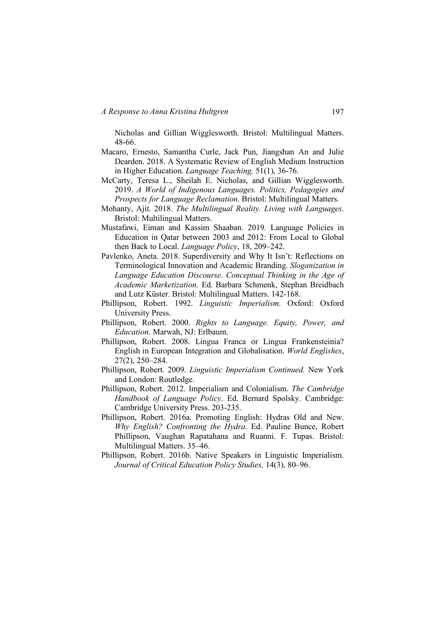Nicholas and Gillian Wigglesworth. Bristol: Multilingual Matters. 48-66.

- Macaro, Ernesto, Samantha Curle, Jack Pun, Jiangshan An and Julie Dearden. 2018. A Systematic Review of English Medium Instruction in Higher Education. *Language Teaching,* 51(1), 36-76.
- McCarty, Teresa L., Sheilah E. Nicholas, and Gillian Wigglesworth. 2019. *A World of Indigenous Languages. Politics, Pedagogies and Prospects for Language Reclamation*. Bristol: Multilingual Matters.
- Mohanty, Ajit. 2018. *The Multilingual Reality. Living with Languages*. Bristol: Multilingual Matters.
- Mustafawi, Eiman and Kassim Shaaban. 2019. Language Policies in Education in Qatar between 2003 and 2012: From Local to Global then Back to Local. *Language Policy*, 18, 209–242.
- Pavlenko, Aneta. 2018. Superdiversity and Why It Isn't: Reflections on Terminological Innovation and Academic Branding. *Sloganization in Language Education Discourse*. *Conceptual Thinking in the Age of Academic Marketization*. Ed. Barbara Schmenk, Stephan Breidbach and Lutz Küster. Bristol: Multilingual Matters. 142-168.
- Phillipson, Robert. 1992. *Linguistic Imperialism*. Oxford: Oxford University Press.
- Phillipson, Robert. 2000. *Rights to Language. Equity, Power, and Education*. Marwah, NJ: Erlbaum.
- Phillipson, Robert. 2008. Lingua Franca or Lingua Frankensteinia? English in European Integration and Globalisation. *World Englishes*, 27(2), 250–284.
- Phillipson, Robert. 2009. *Linguistic Imperialism Continued.* New York and London: Routledge.
- Phillipson, Robert. 2012. Imperialism and Colonialism. *The Cambridge Handbook of Language Policy*. Ed. Bernard Spolsky. Cambridge: Cambridge University Press. 203-235.
- Phillipson, Robert. 2016a. Promoting English: Hydras Old and New. *Why English? Confronting the Hydra*. Ed. Pauline Bunce, Robert Phillipson, Vaughan Rapatahana and Ruanni. F. Tupas. Bristol: Multilingual Matters. 35–46.
- Phillipson, Robert. 2016b. Native Speakers in Linguistic Imperialism. *Journal of Critical Education Policy Studies,* 14(3), 80–96.